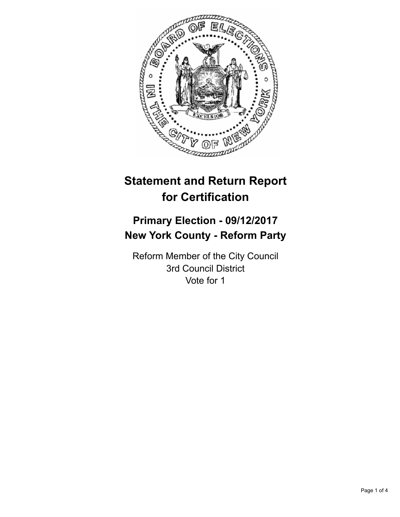

# **Statement and Return Report for Certification**

## **Primary Election - 09/12/2017 New York County - Reform Party**

Reform Member of the City Council 3rd Council District Vote for 1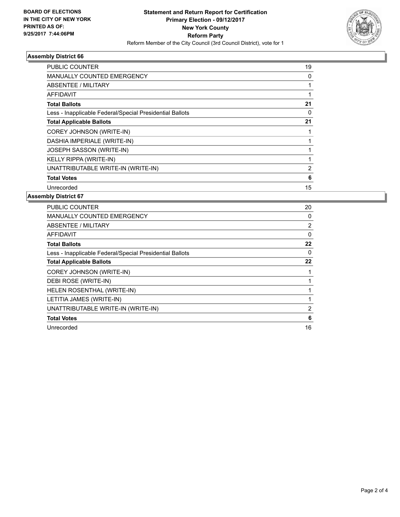

#### **Assembly District 66**

| <b>PUBLIC COUNTER</b>                                    | 19 |
|----------------------------------------------------------|----|
| <b>MANUALLY COUNTED EMERGENCY</b>                        | 0  |
| ABSENTEE / MILITARY                                      |    |
| <b>AFFIDAVIT</b>                                         |    |
| <b>Total Ballots</b>                                     | 21 |
| Less - Inapplicable Federal/Special Presidential Ballots | 0  |
| <b>Total Applicable Ballots</b>                          | 21 |
| <b>COREY JOHNSON (WRITE-IN)</b>                          |    |
| DASHIA IMPERIALE (WRITE-IN)                              |    |
| JOSEPH SASSON (WRITE-IN)                                 |    |
| KELLY RIPPA (WRITE-IN)                                   |    |
| UNATTRIBUTABLE WRITE-IN (WRITE-IN)                       | 2  |
| <b>Total Votes</b>                                       | 6  |
| Unrecorded                                               | 15 |

#### **Assembly District 67**

| <b>PUBLIC COUNTER</b>                                    | 20             |
|----------------------------------------------------------|----------------|
| <b>MANUALLY COUNTED EMERGENCY</b>                        | 0              |
| ABSENTEE / MILITARY                                      | $\overline{2}$ |
| <b>AFFIDAVIT</b>                                         | $\Omega$       |
| <b>Total Ballots</b>                                     | 22             |
| Less - Inapplicable Federal/Special Presidential Ballots | 0              |
| <b>Total Applicable Ballots</b>                          | 22             |
| <b>COREY JOHNSON (WRITE-IN)</b>                          |                |
| DEBI ROSE (WRITE-IN)                                     |                |
| HELEN ROSENTHAL (WRITE-IN)                               |                |
| LETITIA JAMES (WRITE-IN)                                 |                |
| UNATTRIBUTABLE WRITE-IN (WRITE-IN)                       | 2              |
| <b>Total Votes</b>                                       | 6              |
| Unrecorded                                               | 16             |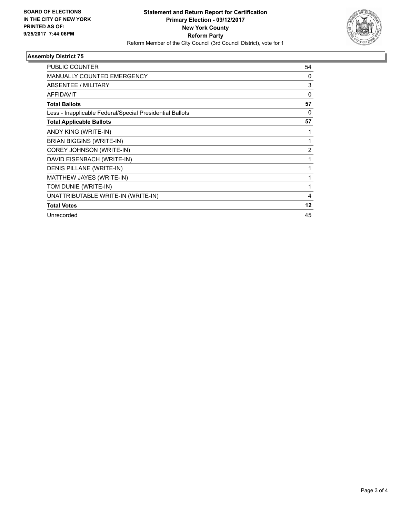

#### **Assembly District 75**

| <b>PUBLIC COUNTER</b>                                    | 54       |
|----------------------------------------------------------|----------|
| <b>MANUALLY COUNTED EMERGENCY</b>                        | 0        |
| ABSENTEE / MILITARY                                      | 3        |
| <b>AFFIDAVIT</b>                                         | $\Omega$ |
| <b>Total Ballots</b>                                     | 57       |
| Less - Inapplicable Federal/Special Presidential Ballots | 0        |
| <b>Total Applicable Ballots</b>                          | 57       |
| ANDY KING (WRITE-IN)                                     |          |
| <b>BRIAN BIGGINS (WRITE-IN)</b>                          | 1        |
| COREY JOHNSON (WRITE-IN)                                 | 2        |
| DAVID EISENBACH (WRITE-IN)                               | 1        |
| DENIS PILLANE (WRITE-IN)                                 |          |
| MATTHEW JAYES (WRITE-IN)                                 | 1        |
| TOM DUNIE (WRITE-IN)                                     | 1        |
| UNATTRIBUTABLE WRITE-IN (WRITE-IN)                       | 4        |
| <b>Total Votes</b>                                       | 12       |
| Unrecorded                                               | 45       |